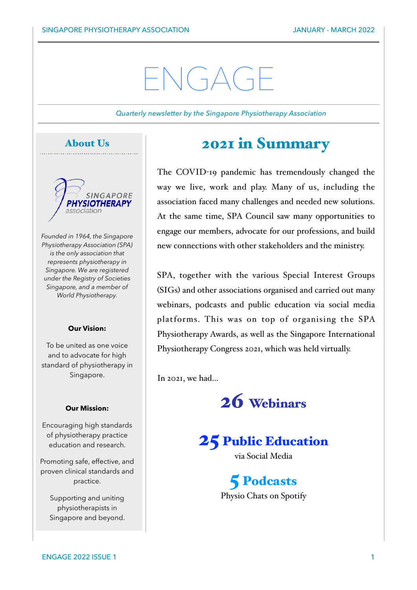# $\sqrt{(1-\Delta)^2}$

*Quarterly newsletter by the Singapore Physiotherapy Association*





*Founded in 1964, the Singapore Physiotherapy Association (SPA) is the only association that represents physiotherapy in Singapore. We are registered under the Registry of Societies Singapore, and a member of World Physiotherapy.*

#### **Our Vision:**

To be united as one voice and to advocate for high standard of physiotherapy in Singapore.

#### **Our Mission:**

Encouraging high standards of physiotherapy practice education and research.

Promoting safe, effective, and proven clinical standards and practice.

Supporting and uniting physiotherapists in Singapore and beyond.

### 2021 in Summary

The COVID-19 pandemic has tremendously changed the way we live, work and play. Many of us, including the association faced many challenges and needed new solutions. At the same time, SPA Council saw many opportunities to engage our members, advocate for our professions, and build new connections with other stakeholders and the ministry.

SPA, together with the various Special Interest Groups (SIGs) and other associations organised and carried out many webinars, podcasts and public education via social media platforms. This was on top of organising the SPA Physiotherapy Awards, as well as the Singapore International Physiotherapy Congress 2021, which was held virtually.

In 2021, we had…



### 25 Public Education

via Social Media

5 Podcasts Physio Chats on Spotify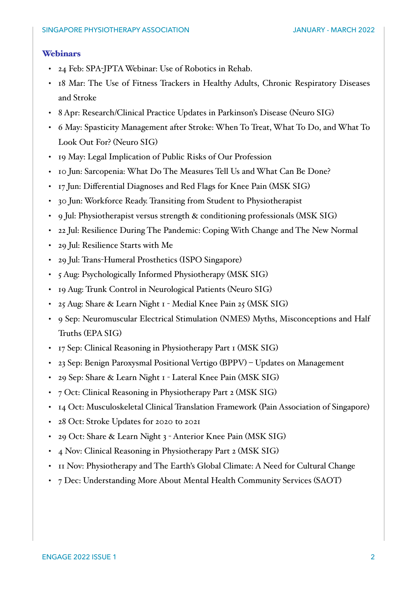#### Webinars

- 24 Feb: SPA-JPTA Webinar: Use of Robotics in Rehab.
- 18 Mar: The Use of Fitness Trackers in Healthy Adults, Chronic Respiratory Diseases and Stroke
- 8 Apr: Research/Clinical Practice Updates in Parkinson's Disease (Neuro SIG)
- 6 May: Spasticity Management after Stroke: When To Treat, What To Do, and What To Look Out For? (Neuro SIG)
- 19 May: Legal Implication of Public Risks of Our Profession
- 10 Jun: Sarcopenia: What Do The Measures Tell Us and What Can Be Done?
- 17 Jun: Differential Diagnoses and Red Flags for Knee Pain (MSK SIG)
- 30 Jun: Workforce Ready. Transiting from Student to Physiotherapist
- 9 Jul: Physiotherapist versus strength & conditioning professionals (MSK SIG)
- 22 Jul: Resilience During The Pandemic: Coping With Change and The New Normal
- 29 Jul: Resilience Starts with Me
- 29 Jul: Trans-Humeral Prosthetics (ISPO Singapore)
- 5 Aug: Psychologically Informed Physiotherapy (MSK SIG)
- 19 Aug: Trunk Control in Neurological Patients (Neuro SIG)
- 25 Aug: Share & Learn Night 1 Medial Knee Pain 25 (MSK SIG)
- 9 Sep: Neuromuscular Electrical Stimulation (NMES) Myths, Misconceptions and Half Truths (EPA SIG)
- 17 Sep: Clinical Reasoning in Physiotherapy Part 1 (MSK SIG)
- 23 Sep: Benign Paroxysmal Positional Vertigo (BPPV) Updates on Management
- 29 Sep: Share & Learn Night 1 Lateral Knee Pain (MSK SIG)
- 7 Oct: Clinical Reasoning in Physiotherapy Part 2 (MSK SIG)
- 14 Oct: Musculoskeletal Clinical Translation Framework (Pain Association of Singapore)
- 28 Oct: Stroke Updates for 2020 to 2021
- 29 Oct: Share & Learn Night 3 Anterior Knee Pain (MSK SIG)
- 4 Nov: Clinical Reasoning in Physiotherapy Part 2 (MSK SIG)
- 11 Nov: Physiotherapy and The Earth's Global Climate: A Need for Cultural Change
- 7 Dec: Understanding More About Mental Health Community Services (SAOT)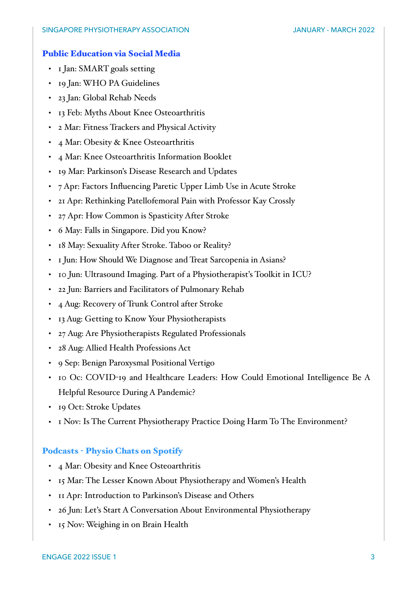#### Public Education via Social Media

- 1 Jan: SMART goals setting
- 19 Jan: WHO PA Guidelines
- 23 Jan: Global Rehab Needs
- 13 Feb: Myths About Knee Osteoarthritis
- 2 Mar: Fitness Trackers and Physical Activity
- 4 Mar: Obesity & Knee Osteoarthritis
- 4 Mar: Knee Osteoarthritis Information Booklet
- 19 Mar: Parkinson's Disease Research and Updates
- 7 Apr: Factors Influencing Paretic Upper Limb Use in Acute Stroke
- 21 Apr: Rethinking Patellofemoral Pain with Professor Kay Crossly
- 27 Apr: How Common is Spasticity After Stroke
- 6 May: Falls in Singapore. Did you Know?
- 18 May: Sexuality After Stroke. Taboo or Reality?
- 1 Jun: How Should We Diagnose and Treat Sarcopenia in Asians?
- 10 Jun: Ultrasound Imaging. Part of a Physiotherapist's Toolkit in ICU?
- 22 Jun: Barriers and Facilitators of Pulmonary Rehab
- 4 Aug: Recovery of Trunk Control after Stroke
- 13 Aug: Getting to Know Your Physiotherapists
- 27 Aug: Are Physiotherapists Regulated Professionals
- 28 Aug: Allied Health Professions Act
- 9 Sep: Benign Paroxysmal Positional Vertigo
- 10 Oc: COVID-19 and Healthcare Leaders: How Could Emotional Intelligence Be A Helpful Resource During A Pandemic?
- 19 Oct: Stroke Updates
- 1 Nov: Is The Current Physiotherapy Practice Doing Harm To The Environment?

#### Podcasts - Physio Chats on Spotify

- 4 Mar: Obesity and Knee Osteoarthritis
- 15 Mar: The Lesser Known About Physiotherapy and Women's Health
- 11 Apr: Introduction to Parkinson's Disease and Others
- 26 Jun: Let's Start A Conversation About Environmental Physiotherapy
- 15 Nov: Weighing in on Brain Health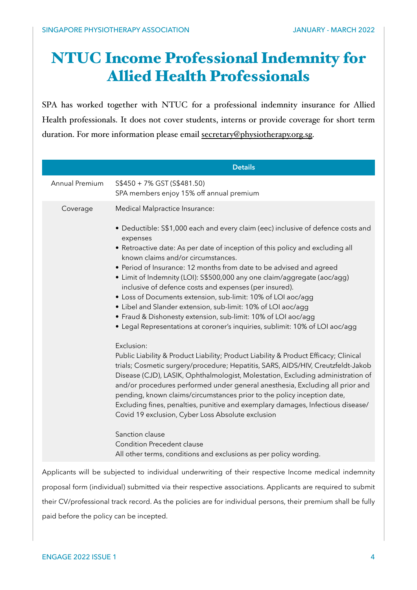## NTUC Income Professional Indemnity for Allied Health Professionals

SPA has worked together with NTUC for a professional indemnity insurance for Allied Health professionals. It does not cover students, interns or provide coverage for short term duration. For more information please email [secretary@physiotherapy.org.sg.](mailto:secretary@physiotherapy.org.sg)

| Annual Premium<br>S\$450 + 7% GST (S\$481.50)<br>SPA members enjoy 15% off annual premium<br>Medical Malpractice Insurance:<br>Coverage<br>• Deductible: S\$1,000 each and every claim (eec) inclusive of defence costs and<br>expenses<br>• Retroactive date: As per date of inception of this policy and excluding all<br>known claims and/or circumstances.<br>• Period of Insurance: 12 months from date to be advised and agreed<br>• Limit of Indemnity (LOI): S\$500,000 any one claim/aggregate (aoc/agg)<br>inclusive of defence costs and expenses (per insured).<br>• Loss of Documents extension, sub-limit: 10% of LOI aoc/agg<br>• Libel and Slander extension, sub-limit: 10% of LOI aoc/agg<br>• Fraud & Dishonesty extension, sub-limit: 10% of LOI aoc/agg<br>• Legal Representations at coroner's inquiries, sublimit: 10% of LOI aoc/agg<br>Exclusion:<br>Public Liability & Product Liability; Product Liability & Product Efficacy; Clinical<br>trials; Cosmetic surgery/procedure; Hepatitis, SARS, AIDS/HIV, Creutzfeldt-Jakob<br>Disease (CJD), LASIK, Ophthalmologist, Molestation, Excluding administration of<br>and/or procedures performed under general anesthesia, Excluding all prior and<br>pending, known claims/circumstances prior to the policy inception date,<br>Excluding fines, penalties, punitive and exemplary damages, Infectious disease/<br>Covid 19 exclusion, Cyber Loss Absolute exclusion<br>Sanction clause<br><b>Condition Precedent clause</b><br>All other terms, conditions and exclusions as per policy wording. | <b>Details</b> |
|----------------------------------------------------------------------------------------------------------------------------------------------------------------------------------------------------------------------------------------------------------------------------------------------------------------------------------------------------------------------------------------------------------------------------------------------------------------------------------------------------------------------------------------------------------------------------------------------------------------------------------------------------------------------------------------------------------------------------------------------------------------------------------------------------------------------------------------------------------------------------------------------------------------------------------------------------------------------------------------------------------------------------------------------------------------------------------------------------------------------------------------------------------------------------------------------------------------------------------------------------------------------------------------------------------------------------------------------------------------------------------------------------------------------------------------------------------------------------------------------------------------------------------------------------------------------------|----------------|
|                                                                                                                                                                                                                                                                                                                                                                                                                                                                                                                                                                                                                                                                                                                                                                                                                                                                                                                                                                                                                                                                                                                                                                                                                                                                                                                                                                                                                                                                                                                                                                            |                |
|                                                                                                                                                                                                                                                                                                                                                                                                                                                                                                                                                                                                                                                                                                                                                                                                                                                                                                                                                                                                                                                                                                                                                                                                                                                                                                                                                                                                                                                                                                                                                                            |                |
|                                                                                                                                                                                                                                                                                                                                                                                                                                                                                                                                                                                                                                                                                                                                                                                                                                                                                                                                                                                                                                                                                                                                                                                                                                                                                                                                                                                                                                                                                                                                                                            |                |
| Applicants will be subjected to individual underwriting of their respective Income medical indemnity<br>proposal form (individual) submitted via their respective associations. Applicants are required to submit                                                                                                                                                                                                                                                                                                                                                                                                                                                                                                                                                                                                                                                                                                                                                                                                                                                                                                                                                                                                                                                                                                                                                                                                                                                                                                                                                          |                |

their CV/professional track record. As the policies are for individual persons, their premium shall be fully paid before the policy can be incepted.